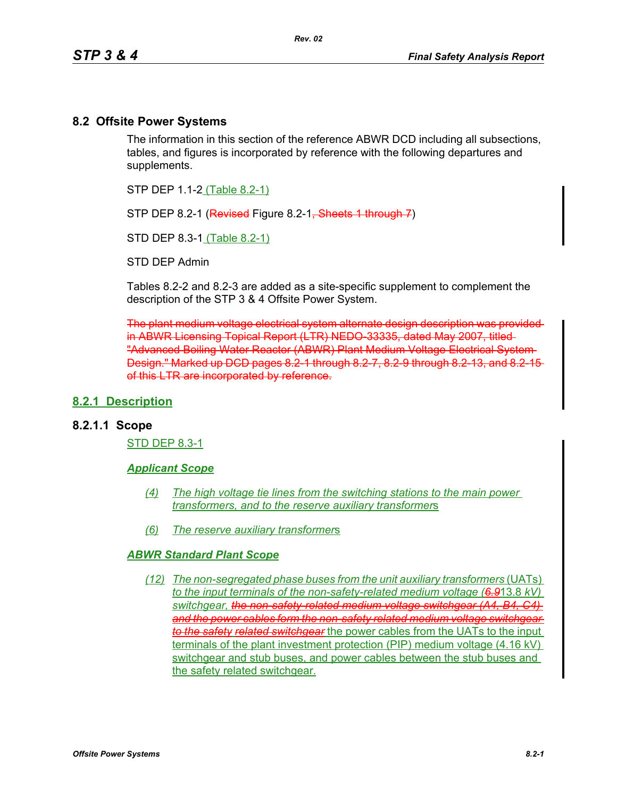### **8.2 Offsite Power Systems**

The information in this section of the reference ABWR DCD including all subsections, tables, and figures is incorporated by reference with the following departures and supplements.

STP DEP 1.1-2 (Table 8.2-1)

STP DEP 8.2-1 (Revised Figure 8.2-1, Sheets 1 through 7)

STD DEP 8.3-1 (Table 8.2-1)

STD DEP Admin

Tables 8.2-2 and 8.2-3 are added as a site-specific supplement to complement the description of the STP 3 & 4 Offsite Power System.

The plant medium voltage electrical system alternate design description was provided in ABWR Licensing Topical Report (LTR) NEDO-33335, dated May 2007, titled "Advanced Boiling Water Reactor (ABWR) Plant Medium Voltage Electrical System Design." Marked up DCD pages 8.2-1 through 8.2-7, 8.2-9 through 8.2-13, and 8.2-15 of this LTR are incorporated by reference.

### **8.2.1 Description**

### **8.2.1.1 Scope**

STD DEP 8.3-1

#### *Applicant Scope*

- *(4) The high voltage tie lines from the switching stations to the main power transformers, and to the reserve auxiliary transformer*s
- *(6) The reserve auxiliary transformer*s

#### *ABWR Standard Plant Scope*

*(12) The non-segregated phase buses from the unit auxiliary transformers* (UATs) *to the input terminals of the non-safety-related medium voltage (6.9*13.8 *kV) switchgear, the non-safety-related medium voltage switchgear (A4, B4, C4) and the power cables form the non-safety related medium voltage switchgear to the safety related switchgear* the power cables from the UATs to the input terminals of the plant investment protection (PIP) medium voltage (4.16 kV) switchgear and stub buses, and power cables between the stub buses and the safety related switchgear.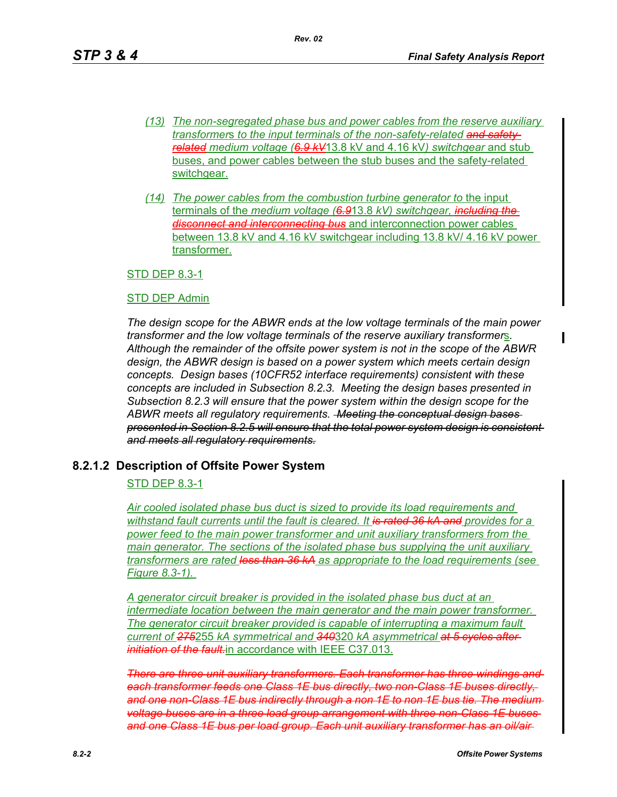- *(13) The non-segregated phase bus and power cables from the reserve auxiliary transformer*s *to the input terminals of the non-safety-related and safetyrelated medium voltage (6.9 kV*13.8 kV and 4.16 kV*) switchgear* and stub buses, and power cables between the stub buses and the safety-related switchgear.
- *(14) The power cables from the combustion turbine generator to* the input terminals of the *medium voltage (6.9*13.8 *kV) switchgear, including the disconnecting bus* and interconnection power cables between 13.8 kV and 4.16 kV switchgear including 13.8 kV/ 4.16 kV power transformer.

### STD DEP 8.3-1

#### STD DEP Admin

*The design scope for the ABWR ends at the low voltage terminals of the main power transformer and the low voltage terminals of the reserve auxiliary transformer*s*. Although the remainder of the offsite power system is not in the scope of the ABWR design, the ABWR design is based on a power system which meets certain design concepts. Design bases (10CFR52 interface requirements) consistent with these concepts are included in Subsection 8.2.3. Meeting the design bases presented in Subsection 8.2.3 will ensure that the power system within the design scope for the ABWR meets all regulatory requirements. Meeting the conceptual design bases presented in Section 8.2.5 will ensure that the total power system design is consistent and meets all regulatory requirements.*

### **8.2.1.2 Description of Offsite Power System**

### STD DEP 8.3-1

*Air cooled isolated phase bus duct is sized to provide its load requirements and withstand fault currents until the fault is cleared. It is rated 36 kA and provides for a power feed to the main power transformer and unit auxiliary transformers from the main generator. The sections of the isolated phase bus supplying the unit auxiliary transformers are rated less than 36 kA as appropriate to the load requirements (see Figure 8.3-1).* 

*A generator circuit breaker is provided in the isolated phase bus duct at an intermediate location between the main generator and the main power transformer. The generator circuit breaker provided is capable of interrupting a maximum fault current of 275*255 *kA symmetrical and 340*320 *kA asymmetrical at 5 cycles after initiation of the fault.*in accordance with IEEE C37.013.

*There are three unit auxiliary transformers. Each transformer has three windings and each transformer feeds one Class 1E bus directly, two non-Class 1E buses directly, and one non-Class 1E bus indirectly through a non 1E to non 1E bus tie. The medium voltage buses are in a three load group arrangement with three non-Class 1E buses and one Class 1E bus per load group. Each unit auxiliary transformer has an oil/air*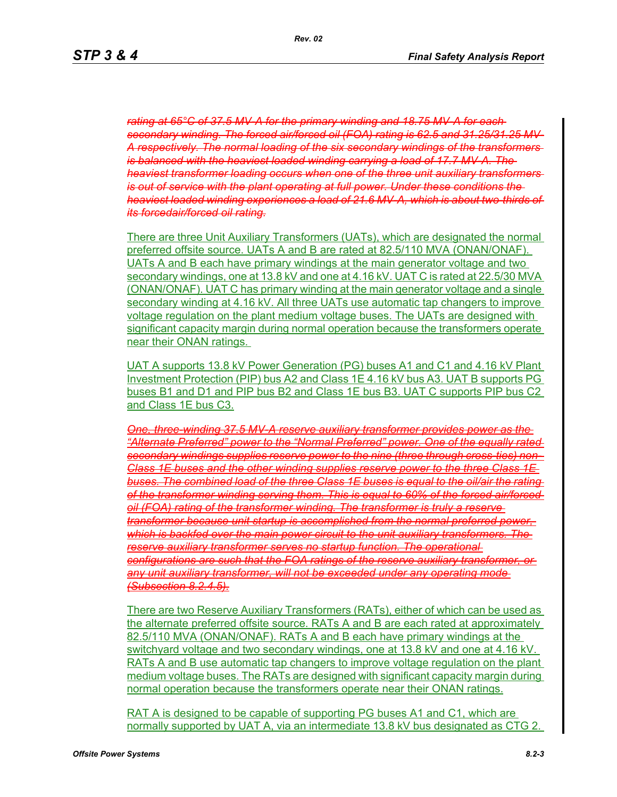*rating at 65°C of 37.5 MV-A for the primary winding and 18.75 MV-A for each secondary winding. The forced air/forced oil (FOA) rating is 62.5 and 31.25/31.25 MV-A respectively. The normal loading of the six secondary windings of the transformers is balanced with the heaviest loaded winding carrying a load of 17.7 MV-A. The heaviest transformer loading occurs when one of the three unit auxiliary transformers is out of service with the plant operating at full power. Under these conditions the heaviest loaded winding experiences a load of 21.6 MV-A, which is about two-thirds of its forcedair/forced oil rating.*

There are three Unit Auxiliary Transformers (UATs), which are designated the normal preferred offsite source. UATs A and B are rated at 82.5/110 MVA (ONAN/ONAF). UATs A and B each have primary windings at the main generator voltage and two secondary windings, one at 13.8 kV and one at 4.16 kV. UAT C is rated at 22.5/30 MVA (ONAN/ONAF). UAT C has primary winding at the main generator voltage and a single secondary winding at 4.16 kV. All three UATs use automatic tap changers to improve voltage regulation on the plant medium voltage buses. The UATs are designed with significant capacity margin during normal operation because the transformers operate near their ONAN ratings.

UAT A supports 13.8 kV Power Generation (PG) buses A1 and C1 and 4.16 kV Plant Investment Protection (PIP) bus A2 and Class 1E 4.16 kV bus A3. UAT B supports PG buses B1 and D1 and PIP bus B2 and Class 1E bus B3. UAT C supports PIP bus C2 and Class 1E bus C3.

*One, three-winding 37.5 MV-A reserve auxiliary transformer provides power as the "Alternate Preferred" power to the "Normal Preferred" power. One of the equally rated secondary windings supplies reserve power to the nine (three through cross-ties) non-Class 1E buses and the other winding supplies reserve power to the three Class 1E buses. The combined load of the three Class 1E buses is equal to the oil/air the rating of the transformer winding serving them. This is equal to 60% of the forced air/forced oil (FOA) rating of the transformer winding. The transformer is truly a reserve transformer because unit startup is accomplished from the normal preferred power, which is backfed over the main power circuit to the unit auxiliary transformers. The reserve auxiliary transformer serves no startup function. The operational configurations are such that the FOA ratings of the reserve auxiliary transformer, or any unit auxiliary transformer, will not be exceeded under any operating mode (Subsection 8.2.4.5).*

There are two Reserve Auxiliary Transformers (RATs), either of which can be used as the alternate preferred offsite source. RATs A and B are each rated at approximately 82.5/110 MVA (ONAN/ONAF). RATs A and B each have primary windings at the switchyard voltage and two secondary windings, one at 13.8 kV and one at 4.16 kV. RATs A and B use automatic tap changers to improve voltage regulation on the plant medium voltage buses. The RATs are designed with significant capacity margin during normal operation because the transformers operate near their ONAN ratings.

RAT A is designed to be capable of supporting PG buses A1 and C1, which are normally supported by UAT A, via an intermediate 13.8 kV bus designated as CTG 2.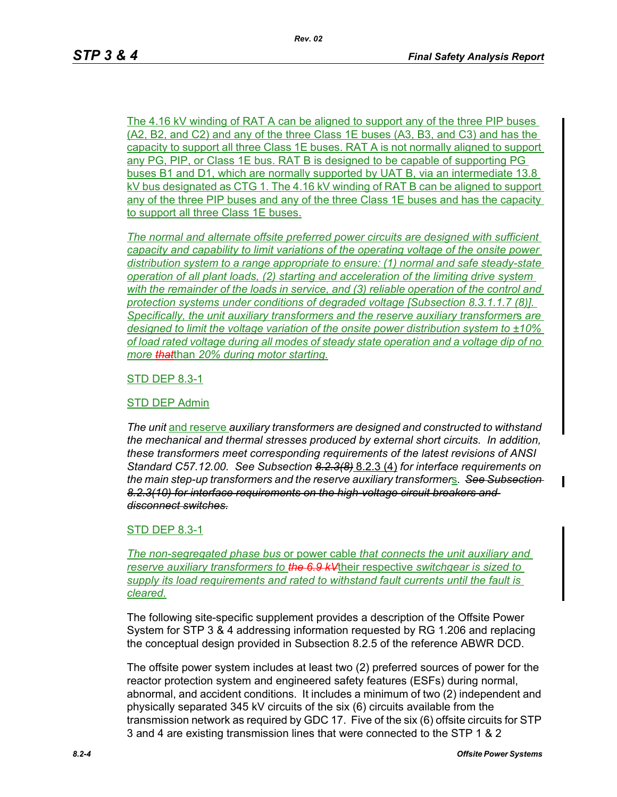The 4.16 kV winding of RAT A can be aligned to support any of the three PIP buses (A2, B2, and C2) and any of the three Class 1E buses (A3, B3, and C3) and has the capacity to support all three Class 1E buses. RAT A is not normally aligned to support any PG, PIP, or Class 1E bus. RAT B is designed to be capable of supporting PG buses B1 and D1, which are normally supported by UAT B, via an intermediate 13.8 kV bus designated as CTG 1. The 4.16 kV winding of RAT B can be aligned to support any of the three PIP buses and any of the three Class 1E buses and has the capacity to support all three Class 1E buses.

*The normal and alternate offsite preferred power circuits are designed with sufficient capacity and capability to limit variations of the operating voltage of the onsite power distribution system to a range appropriate to ensure: (1) normal and safe steady-state operation of all plant loads, (2) starting and acceleration of the limiting drive system with the remainder of the loads in service, and (3) reliable operation of the control and protection systems under conditions of degraded voltage [Subsection 8.3.1.1.7 (8)]. Specifically, the unit auxiliary transformers and the reserve auxiliary transformer*s *are designed to limit the voltage variation of the onsite power distribution system to ±10% of load rated voltage during all modes of steady state operation and a voltage dip of no more that*than *20% during motor starting.*

### STD DEP 8.3-1

#### STD DEP Admin

*The unit* and reserve *auxiliary transformers are designed and constructed to withstand the mechanical and thermal stresses produced by external short circuits. In addition, these transformers meet corresponding requirements of the latest revisions of ANSI Standard C57.12.00. See Subsection 8.2.3(8)* 8.2.3 (4) *for interface requirements on the main step-up transformers and the reserve auxiliary transformer*s*. See Subsection 8.2.3(10) for interface requirements on the high-voltage circuit breakers and disconnect switches.*

#### STD DEP 8.3-1

*The non-segregated phase bus* or power cable *that connects the unit auxiliary and reserve auxiliary transformers to the 6.9 kV*their respective *switchgear is sized to supply its load requirements and rated to withstand fault currents until the fault is cleared.*

The following site-specific supplement provides a description of the Offsite Power System for STP 3 & 4 addressing information requested by RG 1.206 and replacing the conceptual design provided in Subsection 8.2.5 of the reference ABWR DCD.

The offsite power system includes at least two (2) preferred sources of power for the reactor protection system and engineered safety features (ESFs) during normal, abnormal, and accident conditions. It includes a minimum of two (2) independent and physically separated 345 kV circuits of the six (6) circuits available from the transmission network as required by GDC 17. Five of the six (6) offsite circuits for STP 3 and 4 are existing transmission lines that were connected to the STP 1 & 2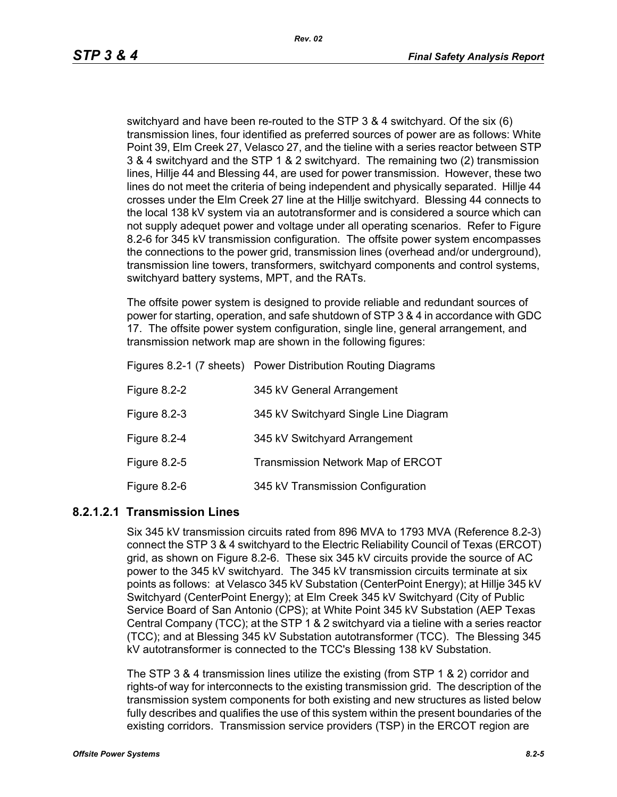switchyard and have been re-routed to the STP 3 & 4 switchyard. Of the six (6) transmission lines, four identified as preferred sources of power are as follows: White Point 39, Elm Creek 27, Velasco 27, and the tieline with a series reactor between STP 3 & 4 switchyard and the STP 1 & 2 switchyard. The remaining two (2) transmission lines, Hillje 44 and Blessing 44, are used for power transmission. However, these two lines do not meet the criteria of being independent and physically separated. Hillje 44 crosses under the Elm Creek 27 line at the Hillje switchyard. Blessing 44 connects to the local 138 kV system via an autotransformer and is considered a source which can not supply adequet power and voltage under all operating scenarios. Refer to Figure 8.2-6 for 345 kV transmission configuration. The offsite power system encompasses the connections to the power grid, transmission lines (overhead and/or underground), transmission line towers, transformers, switchyard components and control systems, switchyard battery systems, MPT, and the RATs.

The offsite power system is designed to provide reliable and redundant sources of power for starting, operation, and safe shutdown of STP 3 & 4 in accordance with GDC 17. The offsite power system configuration, single line, general arrangement, and transmission network map are shown in the following figures:

|              | Figures 8.2-1 (7 sheets) Power Distribution Routing Diagrams |
|--------------|--------------------------------------------------------------|
| Figure 8.2-2 | 345 kV General Arrangement                                   |
| Figure 8.2-3 | 345 kV Switchyard Single Line Diagram                        |
| Figure 8.2-4 | 345 kV Switchyard Arrangement                                |
| Figure 8.2-5 | Transmission Network Map of ERCOT                            |
| Figure 8.2-6 | 345 kV Transmission Configuration                            |

### **8.2.1.2.1 Transmission Lines**

Six 345 kV transmission circuits rated from 896 MVA to 1793 MVA (Reference 8.2-3) connect the STP 3 & 4 switchyard to the Electric Reliability Council of Texas (ERCOT) grid, as shown on Figure 8.2-6. These six 345 kV circuits provide the source of AC power to the 345 kV switchyard. The 345 kV transmission circuits terminate at six points as follows: at Velasco 345 kV Substation (CenterPoint Energy); at Hillje 345 kV Switchyard (CenterPoint Energy); at Elm Creek 345 kV Switchyard (City of Public Service Board of San Antonio (CPS); at White Point 345 kV Substation (AEP Texas Central Company (TCC); at the STP 1 & 2 switchyard via a tieline with a series reactor (TCC); and at Blessing 345 kV Substation autotransformer (TCC). The Blessing 345 kV autotransformer is connected to the TCC's Blessing 138 kV Substation.

The STP 3 & 4 transmission lines utilize the existing (from STP 1 & 2) corridor and rights-of way for interconnects to the existing transmission grid. The description of the transmission system components for both existing and new structures as listed below fully describes and qualifies the use of this system within the present boundaries of the existing corridors. Transmission service providers (TSP) in the ERCOT region are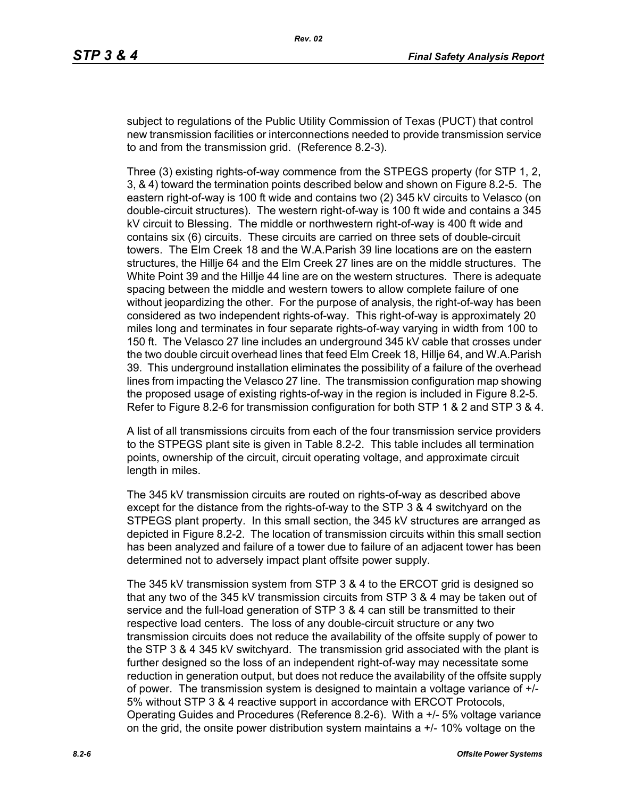subject to regulations of the Public Utility Commission of Texas (PUCT) that control new transmission facilities or interconnections needed to provide transmission service to and from the transmission grid. (Reference 8.2-3).

Three (3) existing rights-of-way commence from the STPEGS property (for STP 1, 2, 3, & 4) toward the termination points described below and shown on Figure 8.2-5. The eastern right-of-way is 100 ft wide and contains two (2) 345 kV circuits to Velasco (on double-circuit structures). The western right-of-way is 100 ft wide and contains a 345 kV circuit to Blessing. The middle or northwestern right-of-way is 400 ft wide and contains six (6) circuits. These circuits are carried on three sets of double-circuit towers. The Elm Creek 18 and the W.A.Parish 39 line locations are on the eastern structures, the Hillje 64 and the Elm Creek 27 lines are on the middle structures. The White Point 39 and the Hillje 44 line are on the western structures. There is adequate spacing between the middle and western towers to allow complete failure of one without jeopardizing the other. For the purpose of analysis, the right-of-way has been considered as two independent rights-of-way. This right-of-way is approximately 20 miles long and terminates in four separate rights-of-way varying in width from 100 to 150 ft. The Velasco 27 line includes an underground 345 kV cable that crosses under the two double circuit overhead lines that feed Elm Creek 18, Hillje 64, and W.A.Parish 39. This underground installation eliminates the possibility of a failure of the overhead lines from impacting the Velasco 27 line. The transmission configuration map showing the proposed usage of existing rights-of-way in the region is included in Figure 8.2-5. Refer to Figure 8.2-6 for transmission configuration for both STP 1 & 2 and STP 3 & 4.

A list of all transmissions circuits from each of the four transmission service providers to the STPEGS plant site is given in Table 8.2-2. This table includes all termination points, ownership of the circuit, circuit operating voltage, and approximate circuit length in miles.

The 345 kV transmission circuits are routed on rights-of-way as described above except for the distance from the rights-of-way to the STP 3 & 4 switchyard on the STPEGS plant property. In this small section, the 345 kV structures are arranged as depicted in Figure 8.2-2. The location of transmission circuits within this small section has been analyzed and failure of a tower due to failure of an adjacent tower has been determined not to adversely impact plant offsite power supply.

The 345 kV transmission system from STP 3 & 4 to the ERCOT grid is designed so that any two of the 345 kV transmission circuits from STP 3 & 4 may be taken out of service and the full-load generation of STP 3 & 4 can still be transmitted to their respective load centers. The loss of any double-circuit structure or any two transmission circuits does not reduce the availability of the offsite supply of power to the STP 3 & 4 345 kV switchyard. The transmission grid associated with the plant is further designed so the loss of an independent right-of-way may necessitate some reduction in generation output, but does not reduce the availability of the offsite supply of power. The transmission system is designed to maintain a voltage variance of +/- 5% without STP 3 & 4 reactive support in accordance with ERCOT Protocols, Operating Guides and Procedures (Reference 8.2-6). With a +/- 5% voltage variance on the grid, the onsite power distribution system maintains  $a +1$ -10% voltage on the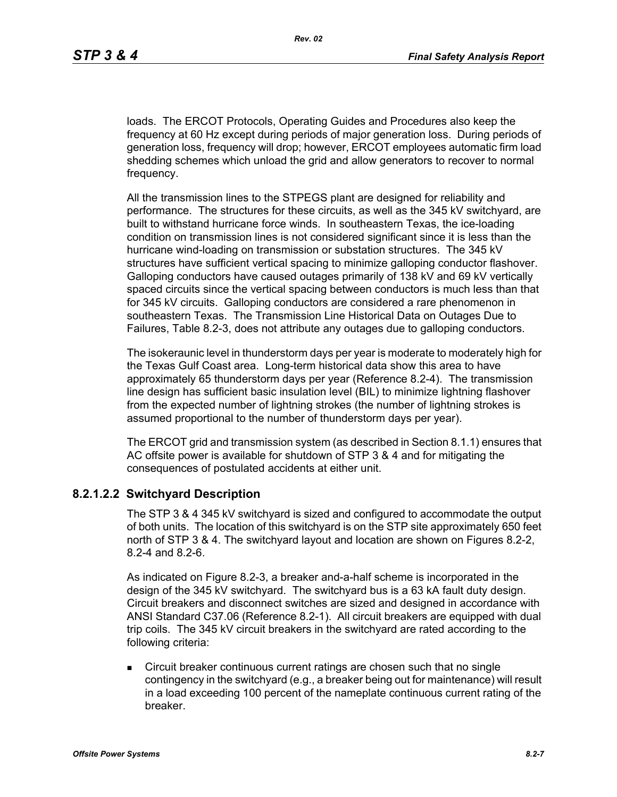loads. The ERCOT Protocols, Operating Guides and Procedures also keep the frequency at 60 Hz except during periods of major generation loss. During periods of generation loss, frequency will drop; however, ERCOT employees automatic firm load shedding schemes which unload the grid and allow generators to recover to normal frequency.

All the transmission lines to the STPEGS plant are designed for reliability and performance. The structures for these circuits, as well as the 345 kV switchyard, are built to withstand hurricane force winds. In southeastern Texas, the ice-loading condition on transmission lines is not considered significant since it is less than the hurricane wind-loading on transmission or substation structures. The 345 kV structures have sufficient vertical spacing to minimize galloping conductor flashover. Galloping conductors have caused outages primarily of 138 kV and 69 kV vertically spaced circuits since the vertical spacing between conductors is much less than that for 345 kV circuits. Galloping conductors are considered a rare phenomenon in southeastern Texas. The Transmission Line Historical Data on Outages Due to Failures, Table 8.2-3, does not attribute any outages due to galloping conductors.

The isokeraunic level in thunderstorm days per year is moderate to moderately high for the Texas Gulf Coast area. Long-term historical data show this area to have approximately 65 thunderstorm days per year (Reference 8.2-4). The transmission line design has sufficient basic insulation level (BIL) to minimize lightning flashover from the expected number of lightning strokes (the number of lightning strokes is assumed proportional to the number of thunderstorm days per year).

The ERCOT grid and transmission system (as described in Section 8.1.1) ensures that AC offsite power is available for shutdown of STP 3 & 4 and for mitigating the consequences of postulated accidents at either unit.

### **8.2.1.2.2 Switchyard Description**

The STP 3 & 4 345 kV switchyard is sized and configured to accommodate the output of both units. The location of this switchyard is on the STP site approximately 650 feet north of STP 3 & 4. The switchyard layout and location are shown on Figures 8.2-2, 8.2-4 and 8.2-6.

As indicated on Figure 8.2-3, a breaker and-a-half scheme is incorporated in the design of the 345 kV switchyard. The switchyard bus is a 63 kA fault duty design. Circuit breakers and disconnect switches are sized and designed in accordance with ANSI Standard C37.06 (Reference 8.2-1). All circuit breakers are equipped with dual trip coils. The 345 kV circuit breakers in the switchyard are rated according to the following criteria:

 Circuit breaker continuous current ratings are chosen such that no single contingency in the switchyard (e.g., a breaker being out for maintenance) will result in a load exceeding 100 percent of the nameplate continuous current rating of the breaker.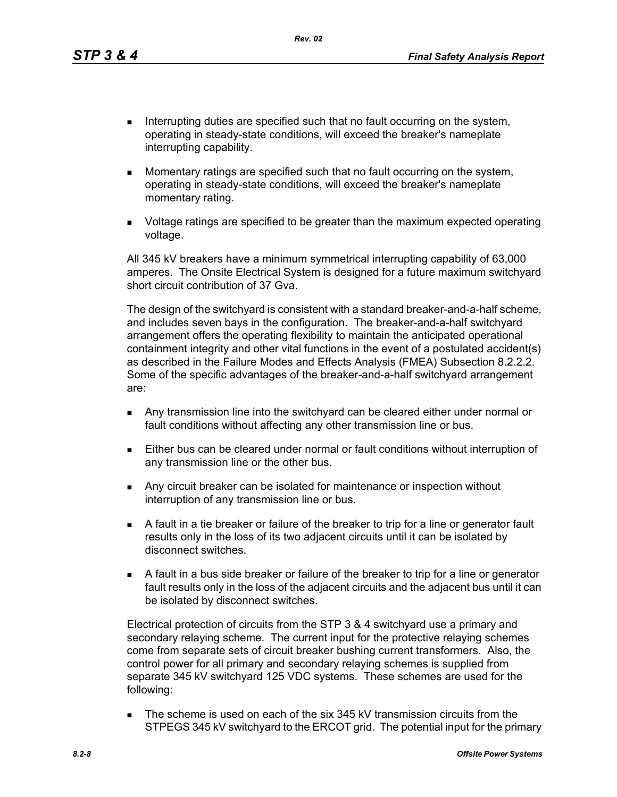*Rev. 02*

- Interrupting duties are specified such that no fault occurring on the system, operating in steady-state conditions, will exceed the breaker's nameplate interrupting capability.
- **Momentary ratings are specified such that no fault occurring on the system,** operating in steady-state conditions, will exceed the breaker's nameplate momentary rating.
- Voltage ratings are specified to be greater than the maximum expected operating voltage.

All 345 kV breakers have a minimum symmetrical interrupting capability of 63,000 amperes. The Onsite Electrical System is designed for a future maximum switchyard short circuit contribution of 37 Gva.

The design of the switchyard is consistent with a standard breaker-and-a-half scheme, and includes seven bays in the configuration. The breaker-and-a-half switchyard arrangement offers the operating flexibility to maintain the anticipated operational containment integrity and other vital functions in the event of a postulated accident(s) as described in the Failure Modes and Effects Analysis (FMEA) Subsection 8.2.2.2. Some of the specific advantages of the breaker-and-a-half switchyard arrangement are:

- Any transmission line into the switchyard can be cleared either under normal or fault conditions without affecting any other transmission line or bus.
- Either bus can be cleared under normal or fault conditions without interruption of any transmission line or the other bus.
- **Any circuit breaker can be isolated for maintenance or inspection without** interruption of any transmission line or bus.
- A fault in a tie breaker or failure of the breaker to trip for a line or generator fault results only in the loss of its two adjacent circuits until it can be isolated by disconnect switches.
- A fault in a bus side breaker or failure of the breaker to trip for a line or generator fault results only in the loss of the adjacent circuits and the adjacent bus until it can be isolated by disconnect switches.

Electrical protection of circuits from the STP 3 & 4 switchyard use a primary and secondary relaying scheme. The current input for the protective relaying schemes come from separate sets of circuit breaker bushing current transformers. Also, the control power for all primary and secondary relaying schemes is supplied from separate 345 kV switchyard 125 VDC systems. These schemes are used for the following:

The scheme is used on each of the six 345 kV transmission circuits from the STPEGS 345 kV switchyard to the ERCOT grid. The potential input for the primary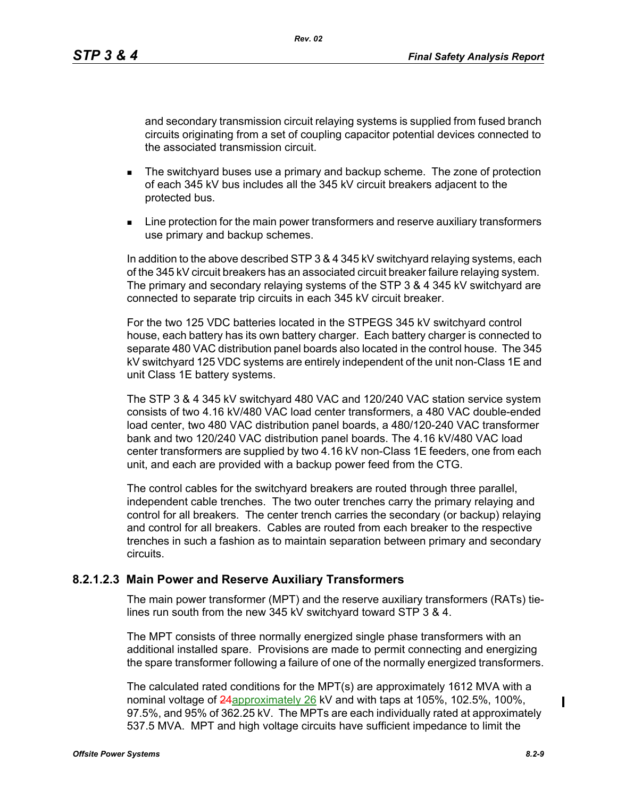and secondary transmission circuit relaying systems is supplied from fused branch circuits originating from a set of coupling capacitor potential devices connected to the associated transmission circuit.

- **The switchyard buses use a primary and backup scheme. The zone of protection** of each 345 kV bus includes all the 345 kV circuit breakers adjacent to the protected bus.
- **EXECT** Line protection for the main power transformers and reserve auxiliary transformers use primary and backup schemes.

In addition to the above described STP 3 & 4 345 kV switchyard relaying systems, each of the 345 kV circuit breakers has an associated circuit breaker failure relaying system. The primary and secondary relaying systems of the STP 3 & 4 345 kV switchyard are connected to separate trip circuits in each 345 kV circuit breaker.

For the two 125 VDC batteries located in the STPEGS 345 kV switchyard control house, each battery has its own battery charger. Each battery charger is connected to separate 480 VAC distribution panel boards also located in the control house. The 345 kV switchyard 125 VDC systems are entirely independent of the unit non-Class 1E and unit Class 1E battery systems.

The STP 3 & 4 345 kV switchyard 480 VAC and 120/240 VAC station service system consists of two 4.16 kV/480 VAC load center transformers, a 480 VAC double-ended load center, two 480 VAC distribution panel boards, a 480/120-240 VAC transformer bank and two 120/240 VAC distribution panel boards. The 4.16 kV/480 VAC load center transformers are supplied by two 4.16 kV non-Class 1E feeders, one from each unit, and each are provided with a backup power feed from the CTG.

The control cables for the switchyard breakers are routed through three parallel, independent cable trenches. The two outer trenches carry the primary relaying and control for all breakers. The center trench carries the secondary (or backup) relaying and control for all breakers. Cables are routed from each breaker to the respective trenches in such a fashion as to maintain separation between primary and secondary circuits.

### **8.2.1.2.3 Main Power and Reserve Auxiliary Transformers**

The main power transformer (MPT) and the reserve auxiliary transformers (RATs) tielines run south from the new 345 kV switchyard toward STP 3 & 4.

The MPT consists of three normally energized single phase transformers with an additional installed spare. Provisions are made to permit connecting and energizing the spare transformer following a failure of one of the normally energized transformers.

The calculated rated conditions for the MPT(s) are approximately 1612 MVA with a nominal voltage of **24**approximately 26 kV and with taps at 105%, 102.5%, 100%, 97.5%, and 95% of 362.25 kV. The MPTs are each individually rated at approximately 537.5 MVA. MPT and high voltage circuits have sufficient impedance to limit the

 $\mathbf I$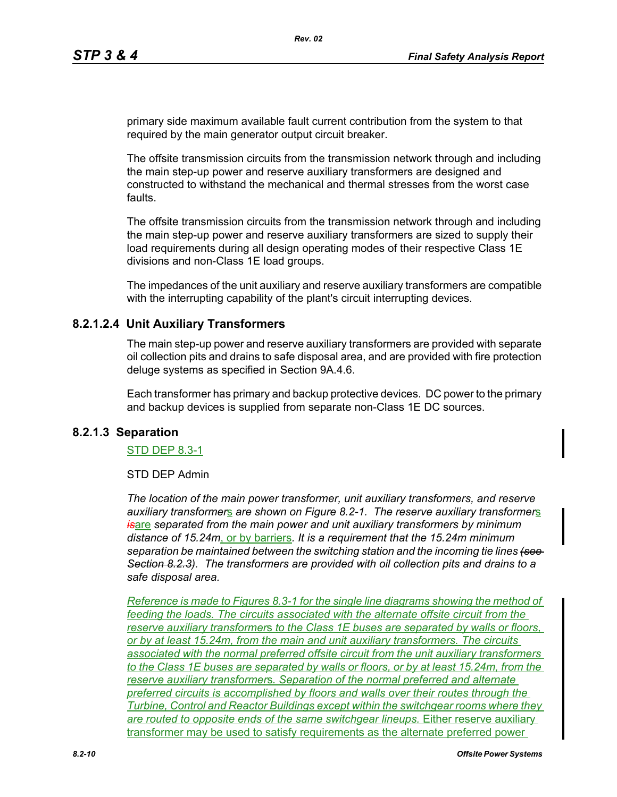primary side maximum available fault current contribution from the system to that required by the main generator output circuit breaker.

The offsite transmission circuits from the transmission network through and including the main step-up power and reserve auxiliary transformers are designed and constructed to withstand the mechanical and thermal stresses from the worst case faults.

The offsite transmission circuits from the transmission network through and including the main step-up power and reserve auxiliary transformers are sized to supply their load requirements during all design operating modes of their respective Class 1E divisions and non-Class 1E load groups.

The impedances of the unit auxiliary and reserve auxiliary transformers are compatible with the interrupting capability of the plant's circuit interrupting devices.

### **8.2.1.2.4 Unit Auxiliary Transformers**

The main step-up power and reserve auxiliary transformers are provided with separate oil collection pits and drains to safe disposal area, and are provided with fire protection deluge systems as specified in Section 9A.4.6.

Each transformer has primary and backup protective devices. DC power to the primary and backup devices is supplied from separate non-Class 1E DC sources.

### **8.2.1.3 Separation**

#### STD DEP 8.3-1

#### STD DEP Admin

*The location of the main power transformer, unit auxiliary transformers, and reserve auxiliary transformer*s *are shown on Figure 8.2-1. The reserve auxiliary transformer*s *is*are *separated from the main power and unit auxiliary transformers by minimum distance of 15.24m*, or by barriers*. It is a requirement that the 15.24m minimum separation be maintained between the switching station and the incoming tie lines (see Section 8.2.3). The transformers are provided with oil collection pits and drains to a safe disposal area.*

*Reference is made to Figures 8.3-1 for the single line diagrams showing the method of feeding the loads. The circuits associated with the alternate offsite circuit from the reserve auxiliary transformer*s *to the Class 1E buses are separated by walls or floors, or by at least 15.24m, from the main and unit auxiliary transformers. The circuits associated with the normal preferred offsite circuit from the unit auxiliary transformers to the Class 1E buses are separated by walls or floors, or by at least 15.24m, from the reserve auxiliary transformer*s*. Separation of the normal preferred and alternate preferred circuits is accomplished by floors and walls over their routes through the Turbine, Control and Reactor Buildings except within the switchgear rooms where they are routed to opposite ends of the same switchgear lineups.* Either reserve auxiliary transformer may be used to satisfy requirements as the alternate preferred power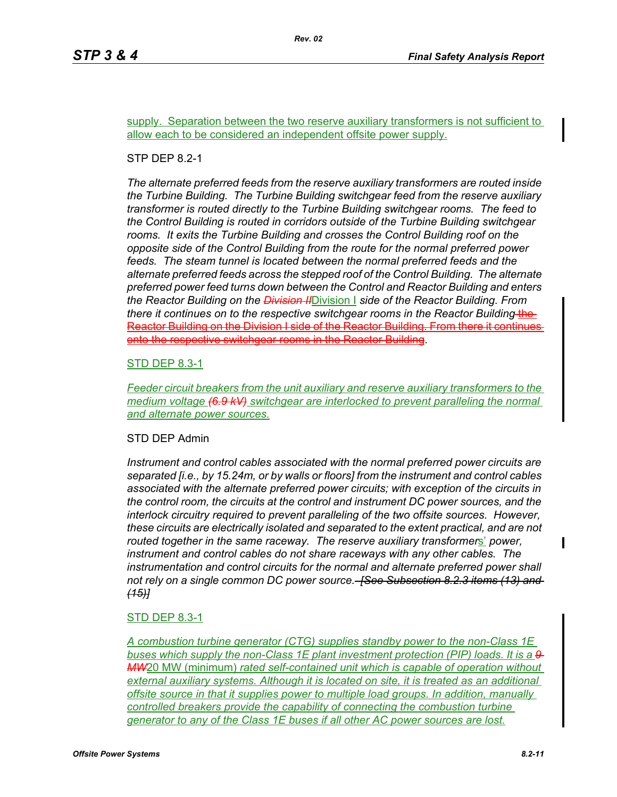supply. Separation between the two reserve auxiliary transformers is not sufficient to allow each to be considered an independent offsite power supply.

#### STP DEP 8.2-1

*The alternate preferred feeds from the reserve auxiliary transformers are routed inside the Turbine Building. The Turbine Building switchgear feed from the reserve auxiliary transformer is routed directly to the Turbine Building switchgear rooms. The feed to the Control Building is routed in corridors outside of the Turbine Building switchgear rooms. It exits the Turbine Building and crosses the Control Building roof on the opposite side of the Control Building from the route for the normal preferred power*  feeds. The steam tunnel is located between the normal preferred feeds and the *alternate preferred feeds across the stepped roof of the Control Building. The alternate preferred power feed turns down between the Control and Reactor Building and enters the Reactor Building on the Division II*Division I *side of the Reactor Building. From there it continues on to the respective switchgear rooms in the Reactor Building-the-*Reactor Building on the Division I side of the Reactor Building. From there it continues onto the respective switchgear rooms in the Reactor Building.

#### STD DEP 8.3-1

*Feeder circuit breakers from the unit auxiliary and reserve auxiliary transformers to the medium voltage (6.9 kV) switchgear are interlocked to prevent paralleling the normal and alternate power sources.*

#### STD DEP Admin

*Instrument and control cables associated with the normal preferred power circuits are separated [i.e., by 15.24m, or by walls or floors] from the instrument and control cables associated with the alternate preferred power circuits; with exception of the circuits in the control room, the circuits at the control and instrument DC power sources, and the interlock circuitry required to prevent paralleling of the two offsite sources. However, these circuits are electrically isolated and separated to the extent practical, and are not routed together in the same raceway. The reserve auxiliary transformer*s' *power, instrument and control cables do not share raceways with any other cables. The instrumentation and control circuits for the normal and alternate preferred power shall not rely on a single common DC power source. [See Subsection 8.2.3 items (13) and (15)]*

### STD DEP 8.3-1

*A combustion turbine generator (CTG) supplies standby power to the non-Class 1E buses which supply the non-Class 1E plant investment protection (PIP) loads. It is a 9 MW*20 MW (minimum) *rated self-contained unit which is capable of operation without external auxiliary systems. Although it is located on site, it is treated as an additional offsite source in that it supplies power to multiple load groups. In addition, manually controlled breakers provide the capability of connecting the combustion turbine generator to any of the Class 1E buses if all other AC power sources are lost.*

 $\mathbf I$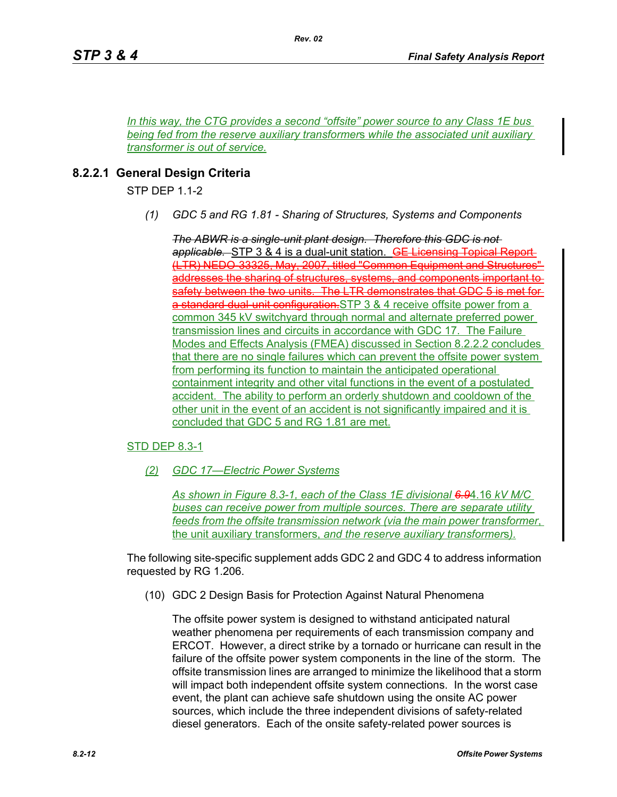*In this way, the CTG provides a second "offsite" power source to any Class 1E bus being fed from the reserve auxiliary transformer*s *while the associated unit auxiliary transformer is out of service.*

*Rev. 02*

# **8.2.2.1 General Design Criteria**

STP DEP 1.1-2

*(1) GDC 5 and RG 1.81 - Sharing of Structures, Systems and Components*

*The ABWR is a single-unit plant design. Therefore this GDC is not applicable.* STP 3 & 4 is a dual-unit station. GE Licensing Topical Report (LTR) NEDO-33325, May, 2007, titled "Common Equipment and Structures" addresses the sharing of structures, systems, and components important to safety between the two units. The LTR demonstrates that GDC 5 is met for a standard dual-unit configuration.STP 3 & 4 receive offsite power from a common 345 kV switchyard through normal and alternate preferred power transmission lines and circuits in accordance with GDC 17. The Failure Modes and Effects Analysis (FMEA) discussed in Section 8.2.2.2 concludes that there are no single failures which can prevent the offsite power system from performing its function to maintain the anticipated operational containment integrity and other vital functions in the event of a postulated accident. The ability to perform an orderly shutdown and cooldown of the other unit in the event of an accident is not significantly impaired and it is concluded that GDC 5 and RG 1.81 are met.

## STD DEP 8.3-1

*(2) GDC 17—Electric Power Systems*

*As shown in Figure 8.3-1, each of the Class 1E divisional 6.9*4.16 *kV M/C buses can receive power from multiple sources. There are separate utility feeds from the offsite transmission network (via the main power transformer*, the unit auxiliary transformers, *and the reserve auxiliary transformer*s*).*

The following site-specific supplement adds GDC 2 and GDC 4 to address information requested by RG 1.206.

(10) GDC 2 Design Basis for Protection Against Natural Phenomena

The offsite power system is designed to withstand anticipated natural weather phenomena per requirements of each transmission company and ERCOT. However, a direct strike by a tornado or hurricane can result in the failure of the offsite power system components in the line of the storm. The offsite transmission lines are arranged to minimize the likelihood that a storm will impact both independent offsite system connections. In the worst case event, the plant can achieve safe shutdown using the onsite AC power sources, which include the three independent divisions of safety-related diesel generators. Each of the onsite safety-related power sources is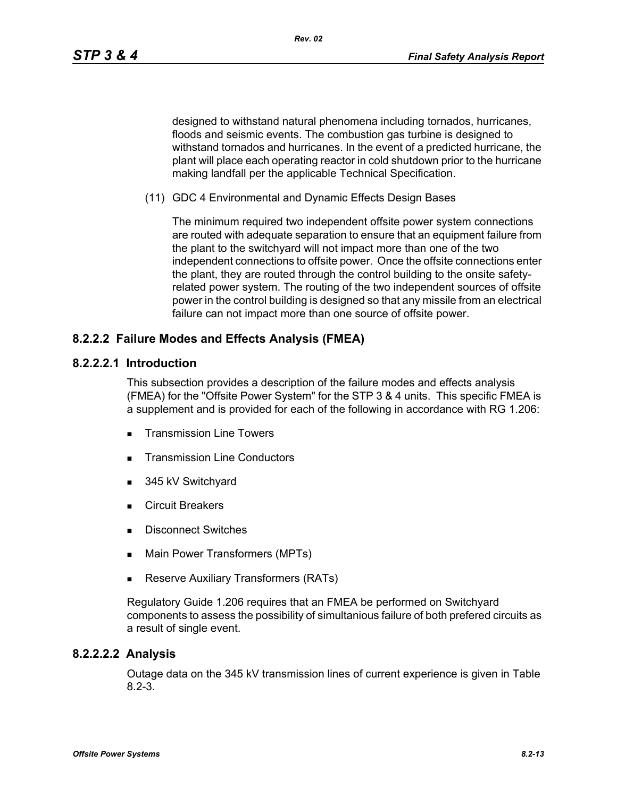designed to withstand natural phenomena including tornados, hurricanes, floods and seismic events. The combustion gas turbine is designed to withstand tornados and hurricanes. In the event of a predicted hurricane, the plant will place each operating reactor in cold shutdown prior to the hurricane making landfall per the applicable Technical Specification.

(11) GDC 4 Environmental and Dynamic Effects Design Bases

The minimum required two independent offsite power system connections are routed with adequate separation to ensure that an equipment failure from the plant to the switchyard will not impact more than one of the two independent connections to offsite power. Once the offsite connections enter the plant, they are routed through the control building to the onsite safetyrelated power system. The routing of the two independent sources of offsite power in the control building is designed so that any missile from an electrical failure can not impact more than one source of offsite power.

# **8.2.2.2 Failure Modes and Effects Analysis (FMEA)**

### **8.2.2.2.1 Introduction**

This subsection provides a description of the failure modes and effects analysis (FMEA) for the "Offsite Power System" for the STP 3 & 4 units. This specific FMEA is a supplement and is provided for each of the following in accordance with RG 1.206:

- **Transmission Line Towers**
- **Transmission Line Conductors**
- 345 kV Switchyard
- Circuit Breakers
- Disconnect Switches
- **Main Power Transformers (MPTs)**
- **Reserve Auxiliary Transformers (RATs)**

Regulatory Guide 1.206 requires that an FMEA be performed on Switchyard components to assess the possibility of simultanious failure of both prefered circuits as a result of single event.

### **8.2.2.2.2 Analysis**

Outage data on the 345 kV transmission lines of current experience is given in Table 8.2-3.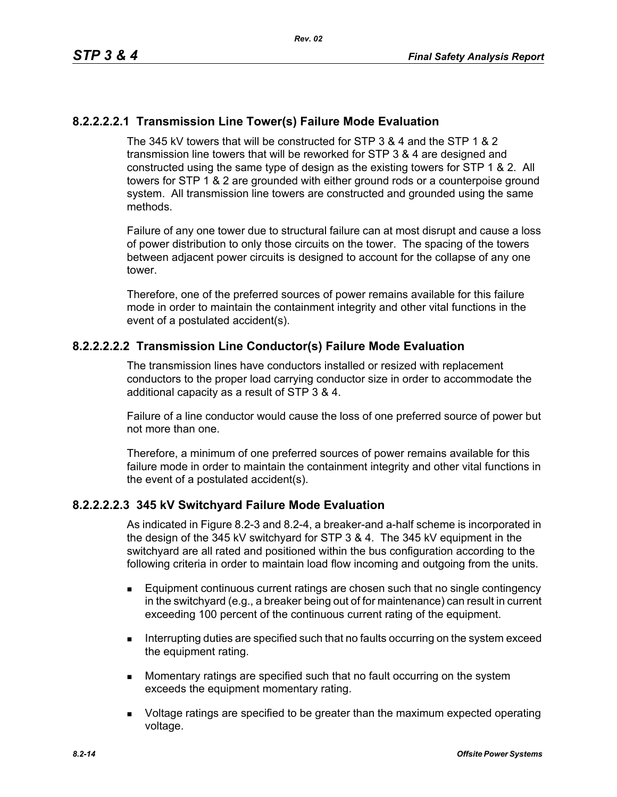## **8.2.2.2.2.1 Transmission Line Tower(s) Failure Mode Evaluation**

The 345 kV towers that will be constructed for STP 3 & 4 and the STP 1 & 2 transmission line towers that will be reworked for STP 3 & 4 are designed and constructed using the same type of design as the existing towers for STP 1 & 2. All towers for STP 1 & 2 are grounded with either ground rods or a counterpoise ground system. All transmission line towers are constructed and grounded using the same methods.

Failure of any one tower due to structural failure can at most disrupt and cause a loss of power distribution to only those circuits on the tower. The spacing of the towers between adjacent power circuits is designed to account for the collapse of any one tower.

Therefore, one of the preferred sources of power remains available for this failure mode in order to maintain the containment integrity and other vital functions in the event of a postulated accident(s).

## **8.2.2.2.2.2 Transmission Line Conductor(s) Failure Mode Evaluation**

The transmission lines have conductors installed or resized with replacement conductors to the proper load carrying conductor size in order to accommodate the additional capacity as a result of STP 3 & 4.

Failure of a line conductor would cause the loss of one preferred source of power but not more than one.

Therefore, a minimum of one preferred sources of power remains available for this failure mode in order to maintain the containment integrity and other vital functions in the event of a postulated accident(s).

### **8.2.2.2.2.3 345 kV Switchyard Failure Mode Evaluation**

As indicated in Figure 8.2-3 and 8.2-4, a breaker-and a-half scheme is incorporated in the design of the 345 kV switchyard for STP 3 & 4. The 345 kV equipment in the switchyard are all rated and positioned within the bus configuration according to the following criteria in order to maintain load flow incoming and outgoing from the units.

- Equipment continuous current ratings are chosen such that no single contingency in the switchyard (e.g., a breaker being out of for maintenance) can result in current exceeding 100 percent of the continuous current rating of the equipment.
- **Interrupting duties are specified such that no faults occurring on the system exceed** the equipment rating.
- **Momentary ratings are specified such that no fault occurring on the system** exceeds the equipment momentary rating.
- **DED** Voltage ratings are specified to be greater than the maximum expected operating voltage.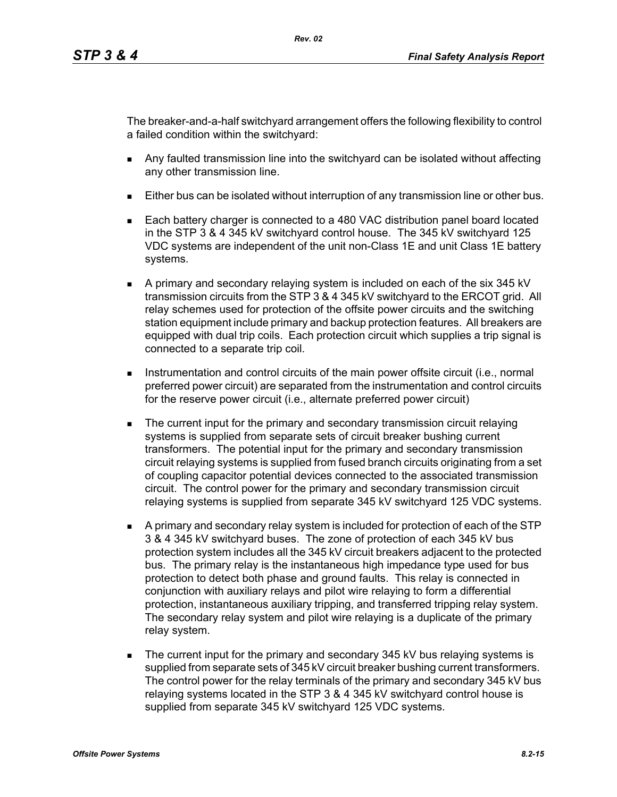The breaker-and-a-half switchyard arrangement offers the following flexibility to control a failed condition within the switchyard:

- Any faulted transmission line into the switchyard can be isolated without affecting any other transmission line.
- Either bus can be isolated without interruption of any transmission line or other bus.
- Each battery charger is connected to a 480 VAC distribution panel board located in the STP 3 & 4 345 kV switchyard control house. The 345 kV switchyard 125 VDC systems are independent of the unit non-Class 1E and unit Class 1E battery systems.
- A primary and secondary relaying system is included on each of the six 345 kV transmission circuits from the STP 3 & 4 345 kV switchyard to the ERCOT grid. All relay schemes used for protection of the offsite power circuits and the switching station equipment include primary and backup protection features. All breakers are equipped with dual trip coils. Each protection circuit which supplies a trip signal is connected to a separate trip coil.
- **Instrumentation and control circuits of the main power offsite circuit (i.e., normal** preferred power circuit) are separated from the instrumentation and control circuits for the reserve power circuit (i.e., alternate preferred power circuit)
- **The current input for the primary and secondary transmission circuit relaying** systems is supplied from separate sets of circuit breaker bushing current transformers. The potential input for the primary and secondary transmission circuit relaying systems is supplied from fused branch circuits originating from a set of coupling capacitor potential devices connected to the associated transmission circuit. The control power for the primary and secondary transmission circuit relaying systems is supplied from separate 345 kV switchyard 125 VDC systems.
- A primary and secondary relay system is included for protection of each of the STP 3 & 4 345 kV switchyard buses. The zone of protection of each 345 kV bus protection system includes all the 345 kV circuit breakers adjacent to the protected bus. The primary relay is the instantaneous high impedance type used for bus protection to detect both phase and ground faults. This relay is connected in conjunction with auxiliary relays and pilot wire relaying to form a differential protection, instantaneous auxiliary tripping, and transferred tripping relay system. The secondary relay system and pilot wire relaying is a duplicate of the primary relay system.
- The current input for the primary and secondary 345 kV bus relaying systems is supplied from separate sets of 345 kV circuit breaker bushing current transformers. The control power for the relay terminals of the primary and secondary 345 kV bus relaying systems located in the STP 3 & 4 345 kV switchyard control house is supplied from separate 345 kV switchyard 125 VDC systems.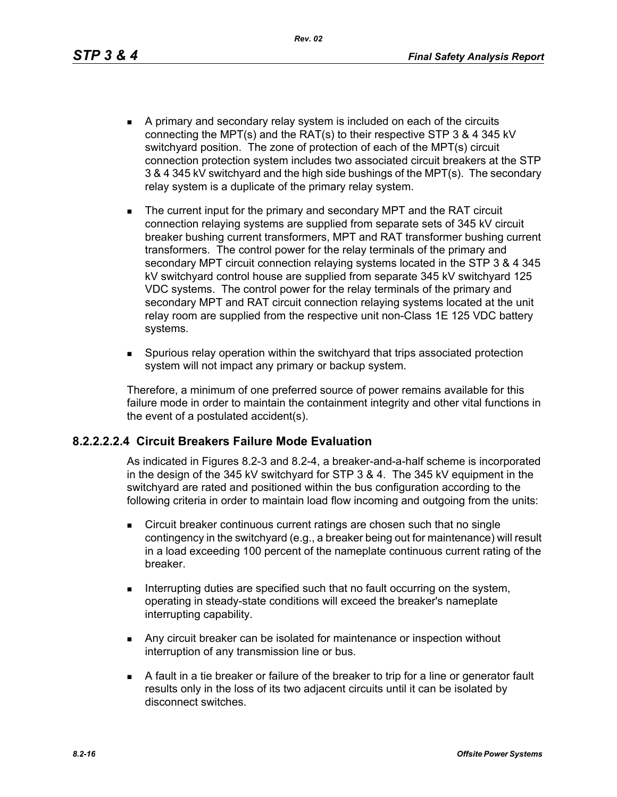*Rev. 02*

- A primary and secondary relay system is included on each of the circuits connecting the MPT(s) and the RAT(s) to their respective STP 3 & 4 345 kV switchyard position. The zone of protection of each of the MPT(s) circuit connection protection system includes two associated circuit breakers at the STP 3 & 4 345 kV switchyard and the high side bushings of the MPT(s). The secondary relay system is a duplicate of the primary relay system.
- The current input for the primary and secondary MPT and the RAT circuit connection relaying systems are supplied from separate sets of 345 kV circuit breaker bushing current transformers, MPT and RAT transformer bushing current transformers. The control power for the relay terminals of the primary and secondary MPT circuit connection relaying systems located in the STP 3 & 4 345 kV switchyard control house are supplied from separate 345 kV switchyard 125 VDC systems. The control power for the relay terminals of the primary and secondary MPT and RAT circuit connection relaying systems located at the unit relay room are supplied from the respective unit non-Class 1E 125 VDC battery systems.
- Spurious relay operation within the switchyard that trips associated protection system will not impact any primary or backup system.

Therefore, a minimum of one preferred source of power remains available for this failure mode in order to maintain the containment integrity and other vital functions in the event of a postulated accident(s).

## **8.2.2.2.2.4 Circuit Breakers Failure Mode Evaluation**

As indicated in Figures 8.2-3 and 8.2-4, a breaker-and-a-half scheme is incorporated in the design of the 345 kV switchyard for STP 3 & 4. The 345 kV equipment in the switchyard are rated and positioned within the bus configuration according to the following criteria in order to maintain load flow incoming and outgoing from the units:

- **EXECT** Circuit breaker continuous current ratings are chosen such that no single contingency in the switchyard (e.g., a breaker being out for maintenance) will result in a load exceeding 100 percent of the nameplate continuous current rating of the breaker.
- Interrupting duties are specified such that no fault occurring on the system, operating in steady-state conditions will exceed the breaker's nameplate interrupting capability.
- **Any circuit breaker can be isolated for maintenance or inspection without** interruption of any transmission line or bus.
- A fault in a tie breaker or failure of the breaker to trip for a line or generator fault results only in the loss of its two adjacent circuits until it can be isolated by disconnect switches.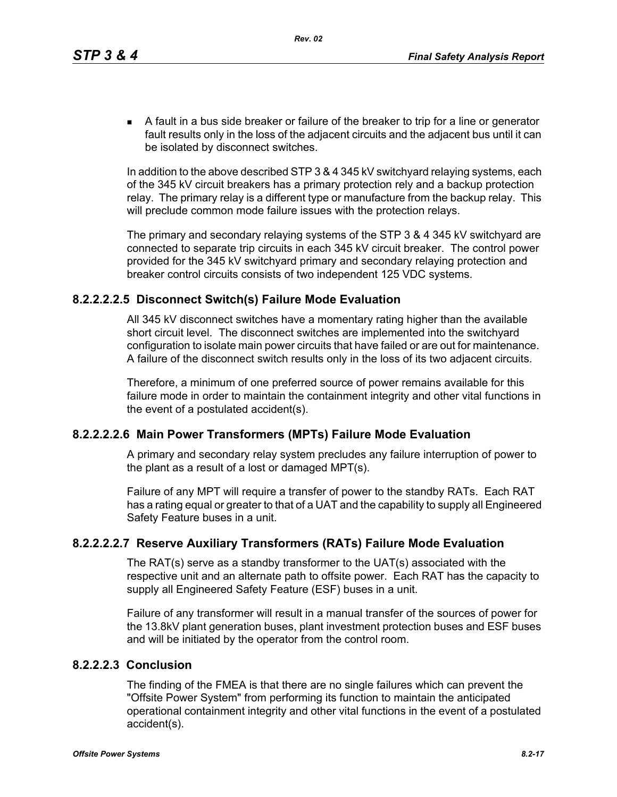A fault in a bus side breaker or failure of the breaker to trip for a line or generator fault results only in the loss of the adjacent circuits and the adjacent bus until it can be isolated by disconnect switches.

In addition to the above described STP 3 & 4 345 kV switchyard relaying systems, each of the 345 kV circuit breakers has a primary protection rely and a backup protection relay. The primary relay is a different type or manufacture from the backup relay. This will preclude common mode failure issues with the protection relays.

The primary and secondary relaying systems of the STP 3 & 4 345 kV switchyard are connected to separate trip circuits in each 345 kV circuit breaker. The control power provided for the 345 kV switchyard primary and secondary relaying protection and breaker control circuits consists of two independent 125 VDC systems.

### **8.2.2.2.2.5 Disconnect Switch(s) Failure Mode Evaluation**

All 345 kV disconnect switches have a momentary rating higher than the available short circuit level. The disconnect switches are implemented into the switchyard configuration to isolate main power circuits that have failed or are out for maintenance. A failure of the disconnect switch results only in the loss of its two adjacent circuits.

Therefore, a minimum of one preferred source of power remains available for this failure mode in order to maintain the containment integrity and other vital functions in the event of a postulated accident(s).

## **8.2.2.2.2.6 Main Power Transformers (MPTs) Failure Mode Evaluation**

A primary and secondary relay system precludes any failure interruption of power to the plant as a result of a lost or damaged MPT(s).

Failure of any MPT will require a transfer of power to the standby RATs. Each RAT has a rating equal or greater to that of a UAT and the capability to supply all Engineered Safety Feature buses in a unit.

## **8.2.2.2.2.7 Reserve Auxiliary Transformers (RATs) Failure Mode Evaluation**

The RAT(s) serve as a standby transformer to the UAT(s) associated with the respective unit and an alternate path to offsite power. Each RAT has the capacity to supply all Engineered Safety Feature (ESF) buses in a unit.

Failure of any transformer will result in a manual transfer of the sources of power for the 13.8kV plant generation buses, plant investment protection buses and ESF buses and will be initiated by the operator from the control room.

# **8.2.2.2.3 Conclusion**

The finding of the FMEA is that there are no single failures which can prevent the "Offsite Power System" from performing its function to maintain the anticipated operational containment integrity and other vital functions in the event of a postulated accident(s).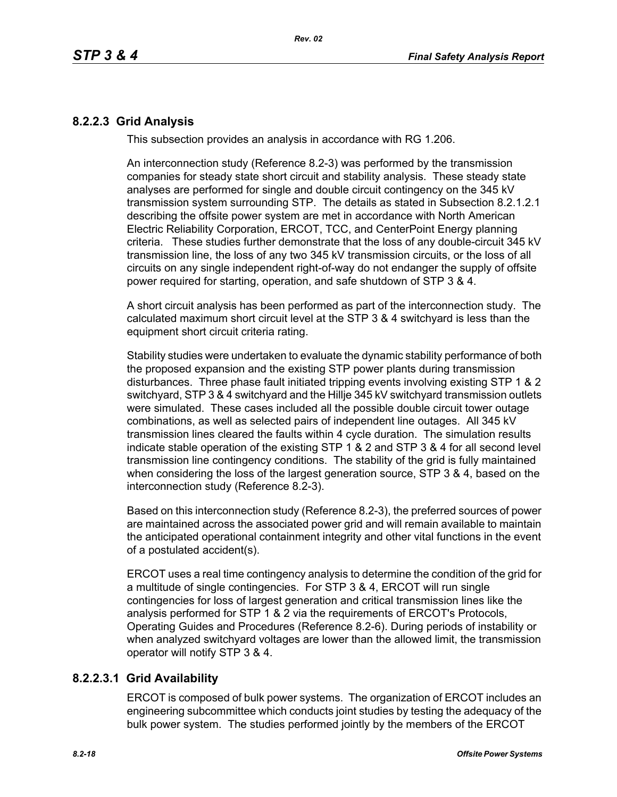## **8.2.2.3 Grid Analysis**

This subsection provides an analysis in accordance with RG 1.206.

An interconnection study (Reference 8.2-3) was performed by the transmission companies for steady state short circuit and stability analysis. These steady state analyses are performed for single and double circuit contingency on the 345 kV transmission system surrounding STP. The details as stated in Subsection 8.2.1.2.1 describing the offsite power system are met in accordance with North American Electric Reliability Corporation, ERCOT, TCC, and CenterPoint Energy planning criteria. These studies further demonstrate that the loss of any double-circuit 345 kV transmission line, the loss of any two 345 kV transmission circuits, or the loss of all circuits on any single independent right-of-way do not endanger the supply of offsite power required for starting, operation, and safe shutdown of STP 3 & 4.

A short circuit analysis has been performed as part of the interconnection study. The calculated maximum short circuit level at the STP 3 & 4 switchyard is less than the equipment short circuit criteria rating.

Stability studies were undertaken to evaluate the dynamic stability performance of both the proposed expansion and the existing STP power plants during transmission disturbances. Three phase fault initiated tripping events involving existing STP 1 & 2 switchyard, STP 3 & 4 switchyard and the Hillje 345 kV switchyard transmission outlets were simulated. These cases included all the possible double circuit tower outage combinations, as well as selected pairs of independent line outages. All 345 kV transmission lines cleared the faults within 4 cycle duration. The simulation results indicate stable operation of the existing STP 1 & 2 and STP 3 & 4 for all second level transmission line contingency conditions. The stability of the grid is fully maintained when considering the loss of the largest generation source, STP 3 & 4, based on the interconnection study (Reference 8.2-3).

Based on this interconnection study (Reference 8.2-3), the preferred sources of power are maintained across the associated power grid and will remain available to maintain the anticipated operational containment integrity and other vital functions in the event of a postulated accident(s).

ERCOT uses a real time contingency analysis to determine the condition of the grid for a multitude of single contingencies. For STP 3 & 4, ERCOT will run single contingencies for loss of largest generation and critical transmission lines like the analysis performed for STP 1 & 2 via the requirements of ERCOT's Protocols, Operating Guides and Procedures (Reference 8.2-6). During periods of instability or when analyzed switchyard voltages are lower than the allowed limit, the transmission operator will notify STP 3 & 4.

## **8.2.2.3.1 Grid Availability**

ERCOT is composed of bulk power systems. The organization of ERCOT includes an engineering subcommittee which conducts joint studies by testing the adequacy of the bulk power system. The studies performed jointly by the members of the ERCOT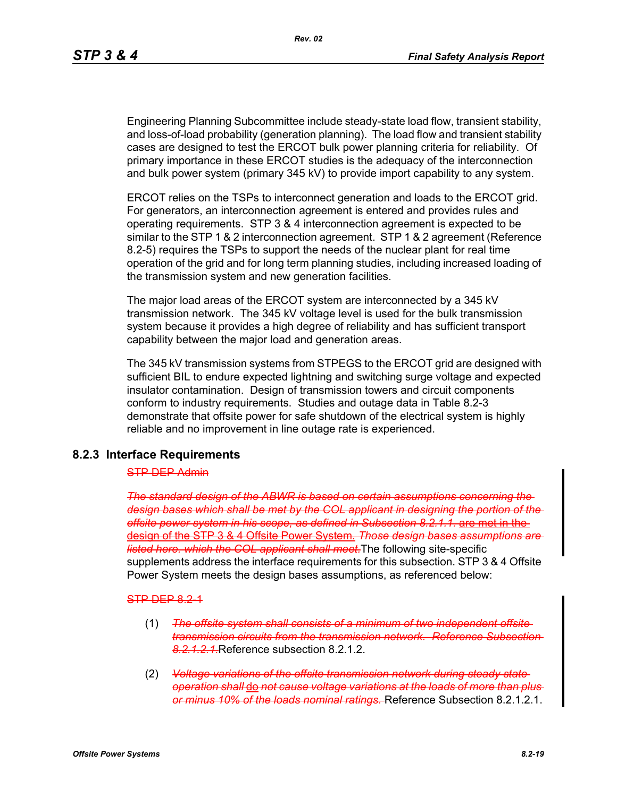Engineering Planning Subcommittee include steady-state load flow, transient stability, and loss-of-load probability (generation planning). The load flow and transient stability cases are designed to test the ERCOT bulk power planning criteria for reliability. Of primary importance in these ERCOT studies is the adequacy of the interconnection and bulk power system (primary 345 kV) to provide import capability to any system.

ERCOT relies on the TSPs to interconnect generation and loads to the ERCOT grid. For generators, an interconnection agreement is entered and provides rules and operating requirements. STP 3 & 4 interconnection agreement is expected to be similar to the STP 1 & 2 interconnection agreement. STP 1 & 2 agreement (Reference 8.2-5) requires the TSPs to support the needs of the nuclear plant for real time operation of the grid and for long term planning studies, including increased loading of the transmission system and new generation facilities.

The major load areas of the ERCOT system are interconnected by a 345 kV transmission network. The 345 kV voltage level is used for the bulk transmission system because it provides a high degree of reliability and has sufficient transport capability between the major load and generation areas.

The 345 kV transmission systems from STPEGS to the ERCOT grid are designed with sufficient BIL to endure expected lightning and switching surge voltage and expected insulator contamination. Design of transmission towers and circuit components conform to industry requirements. Studies and outage data in Table 8.2-3 demonstrate that offsite power for safe shutdown of the electrical system is highly reliable and no improvement in line outage rate is experienced.

### **8.2.3 Interface Requirements**

#### STP DEP Admin

*The standard design of the ABWR is based on certain assumptions concerning the design bases which shall be met by the COL applicant in designing the portion of the offsite power system in his scope, as defined in Subsection 8.2.1.1.* are met in the design of the STP 3 & 4 Offsite Power System. *Those design bases assumptions are listed here. which the COL applicant shall meet.*The following site-specific supplements address the interface requirements for this subsection. STP 3 & 4 Offsite Power System meets the design bases assumptions, as referenced below:

#### STP DEP 8.2-1

- (1) *The offsite system shall consists of a minimum of two independent offsite transmission circuits from the transmission network. Reference Subsection 8.2.1.2.1.*Reference subsection 8.2.1.2.
- (2) *Voltage variations of the offsite transmission network during steady state operation shall* do *not cause voltage variations at the loads of more than plus or minus 10% of the loads nominal ratings.* Reference Subsection 8.2.1.2.1.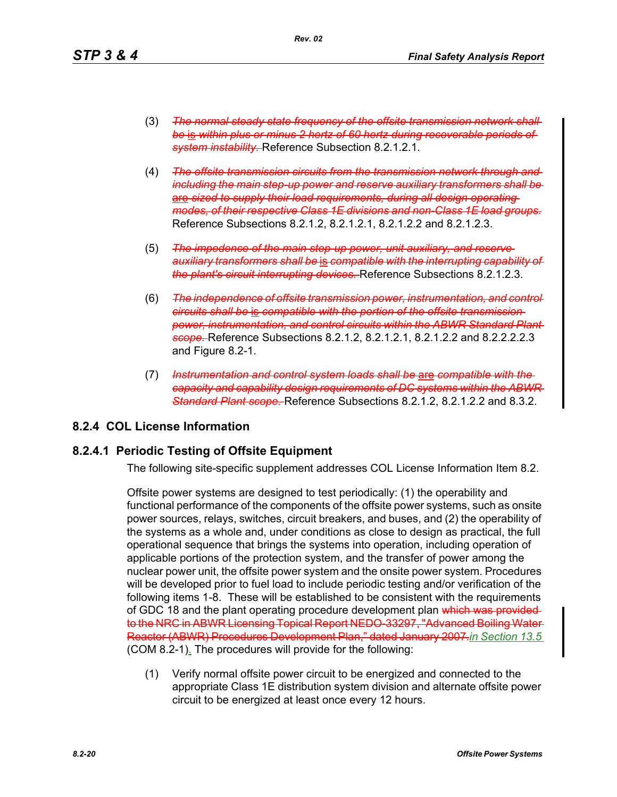- (3) *The normal steady state frequency of the offsite transmission network shall be* is *within plus or minus 2 hertz of 60 hertz during recoverable periods of system instability.* Reference Subsection 8.2.1.2.1.
- (4) *The offsite transmission circuits from the transmission network through and including the main step-up power and reserve auxiliary transformers shall be* are *sized to supply their load requirements, during all design operating modes, of their respective Class 1E divisions and non-Class 1E load groups.* Reference Subsections 8.2.1.2, 8.2.1.2.1, 8.2.1.2.2 and 8.2.1.2.3.
- (5) *The impedence of the main step-up power, unit auxiliary, and reserve auxiliary transformers shall be* is *compatible with the interrupting capability of the plant's circuit interrupting devices.* Reference Subsections 8.2.1.2.3.
- (6) *The independence of offsite transmission power, instrumentation, and control circuits shall be* is *compatible with the portion of the offsite transmission power, instrumentation, and control circuits within the ABWR Standard Plant scope.* Reference Subsections 8.2.1.2, 8.2.1.2.1, 8.2.1.2.2 and 8.2.2.2.2.3 and Figure 8.2-1.
- (7) *Instrumentation and control system loads shall be* are *compatible with the capacity and capability design requirements of DC systems within the ABWR Standard Plant scope.* Reference Subsections 8.2.1.2, 8.2.1.2.2 and 8.3.2.

## **8.2.4 COL License Information**

## **8.2.4.1 Periodic Testing of Offsite Equipment**

The following site-specific supplement addresses COL License Information Item 8.2.

Offsite power systems are designed to test periodically: (1) the operability and functional performance of the components of the offsite power systems, such as onsite power sources, relays, switches, circuit breakers, and buses, and (2) the operability of the systems as a whole and, under conditions as close to design as practical, the full operational sequence that brings the systems into operation, including operation of applicable portions of the protection system, and the transfer of power among the nuclear power unit, the offsite power system and the onsite power system. Procedures will be developed prior to fuel load to include periodic testing and/or verification of the following items 1-8. These will be established to be consistent with the requirements of GDC 18 and the plant operating procedure development plan which was providedto the NRC in ABWR Licensing Topical Report NEDO-33297, "Advanced Boiling Water Reactor (ABWR) Procedures Development Plan," dated January 2007.*in Section 13.5* (COM 8.2-1). The procedures will provide for the following:

(1) Verify normal offsite power circuit to be energized and connected to the appropriate Class 1E distribution system division and alternate offsite power circuit to be energized at least once every 12 hours.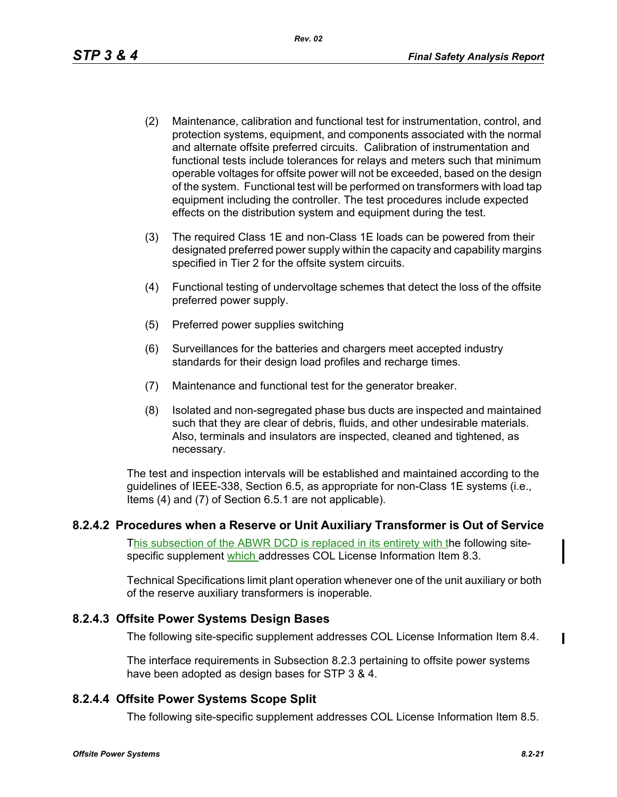- (2) Maintenance, calibration and functional test for instrumentation, control, and protection systems, equipment, and components associated with the normal and alternate offsite preferred circuits. Calibration of instrumentation and functional tests include tolerances for relays and meters such that minimum operable voltages for offsite power will not be exceeded, based on the design of the system. Functional test will be performed on transformers with load tap equipment including the controller. The test procedures include expected effects on the distribution system and equipment during the test.
- (3) The required Class 1E and non-Class 1E loads can be powered from their designated preferred power supply within the capacity and capability margins specified in Tier 2 for the offsite system circuits.
- (4) Functional testing of undervoltage schemes that detect the loss of the offsite preferred power supply.
- (5) Preferred power supplies switching
- (6) Surveillances for the batteries and chargers meet accepted industry standards for their design load profiles and recharge times.
- (7) Maintenance and functional test for the generator breaker.
- (8) Isolated and non-segregated phase bus ducts are inspected and maintained such that they are clear of debris, fluids, and other undesirable materials. Also, terminals and insulators are inspected, cleaned and tightened, as necessary.

The test and inspection intervals will be established and maintained according to the guidelines of IEEE-338, Section 6.5, as appropriate for non-Class 1E systems (i.e., Items (4) and (7) of Section 6.5.1 are not applicable).

### **8.2.4.2 Procedures when a Reserve or Unit Auxiliary Transformer is Out of Service**

This subsection of the ABWR DCD is replaced in its entirety with the following sitespecific supplement which addresses COL License Information Item 8.3.

Technical Specifications limit plant operation whenever one of the unit auxiliary or both of the reserve auxiliary transformers is inoperable.

## **8.2.4.3 Offsite Power Systems Design Bases**

The following site-specific supplement addresses COL License Information Item 8.4.

The interface requirements in Subsection 8.2.3 pertaining to offsite power systems have been adopted as design bases for STP 3 & 4.

## **8.2.4.4 Offsite Power Systems Scope Split**

The following site-specific supplement addresses COL License Information Item 8.5.

 $\blacksquare$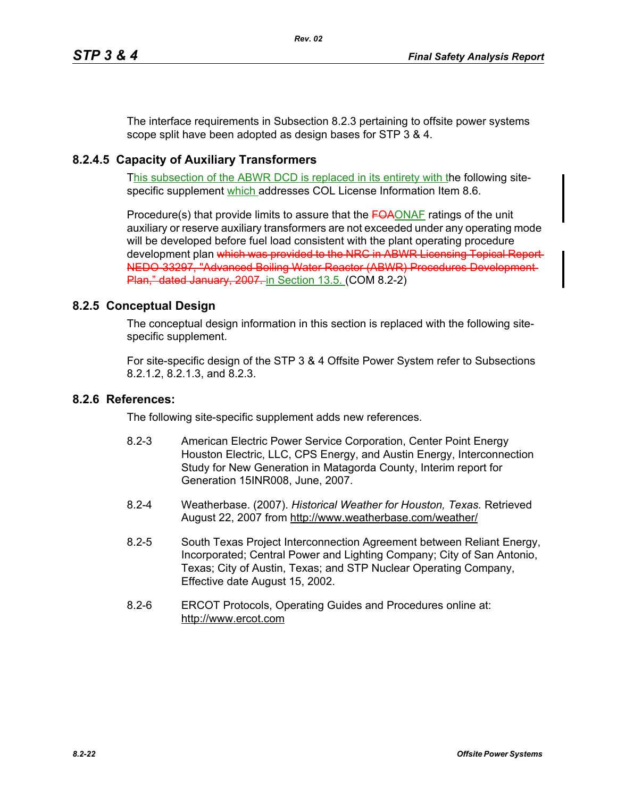The interface requirements in Subsection 8.2.3 pertaining to offsite power systems scope split have been adopted as design bases for STP 3 & 4.

# **8.2.4.5 Capacity of Auxiliary Transformers**

This subsection of the ABWR DCD is replaced in its entirety with the following sitespecific supplement which addresses COL License Information Item 8.6.

Procedure(s) that provide limits to assure that the FOAONAF ratings of the unit auxiliary or reserve auxiliary transformers are not exceeded under any operating mode will be developed before fuel load consistent with the plant operating procedure development plan which was provided to the NRC in ABWR Licensing Topical Report-NEDO-33297, "Advanced Boiling Water Reactor (ABWR) Procedures Development Plan," dated January, 2007. in Section 13.5. (COM 8.2-2)

## **8.2.5 Conceptual Design**

The conceptual design information in this section is replaced with the following sitespecific supplement.

For site-specific design of the STP 3 & 4 Offsite Power System refer to Subsections 8.2.1.2, 8.2.1.3, and 8.2.3.

### **8.2.6 References:**

The following site-specific supplement adds new references.

- 8.2-3 American Electric Power Service Corporation, Center Point Energy Houston Electric, LLC, CPS Energy, and Austin Energy, Interconnection Study for New Generation in Matagorda County, Interim report for Generation 15INR008, June, 2007.
- 8.2-4 Weatherbase. (2007). *Historical Weather for Houston, Texas.* Retrieved August 22, 2007 from http://www.weatherbase.com/weather/
- 8.2-5 South Texas Project Interconnection Agreement between Reliant Energy, Incorporated; Central Power and Lighting Company; City of San Antonio, Texas; City of Austin, Texas; and STP Nuclear Operating Company, Effective date August 15, 2002.
- 8.2-6 ERCOT Protocols, Operating Guides and Procedures online at: http://www.ercot.com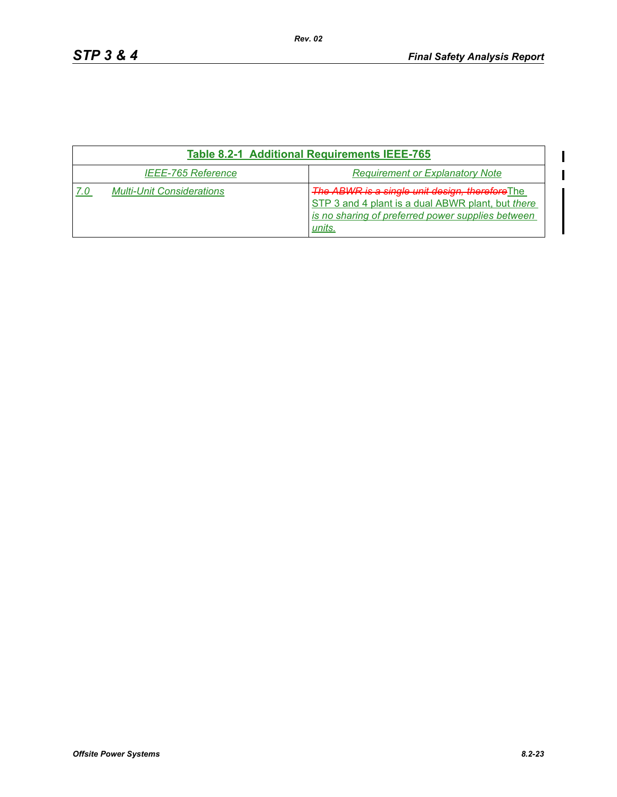$\blacksquare$  $\blacksquare$ 

| <b>Table 8.2-1 Additional Requirements IEEE-765</b> |                                                                                                                                                                            |  |  |
|-----------------------------------------------------|----------------------------------------------------------------------------------------------------------------------------------------------------------------------------|--|--|
| <b>IEEE-765 Reference</b>                           | <b>Requirement or Explanatory Note</b>                                                                                                                                     |  |  |
| <b>Multi-Unit Considerations</b>                    | <b>The ABWR is a single unit design, therefore The</b><br>STP 3 and 4 plant is a dual ABWR plant, but there<br>is no sharing of preferred power supplies between<br>units. |  |  |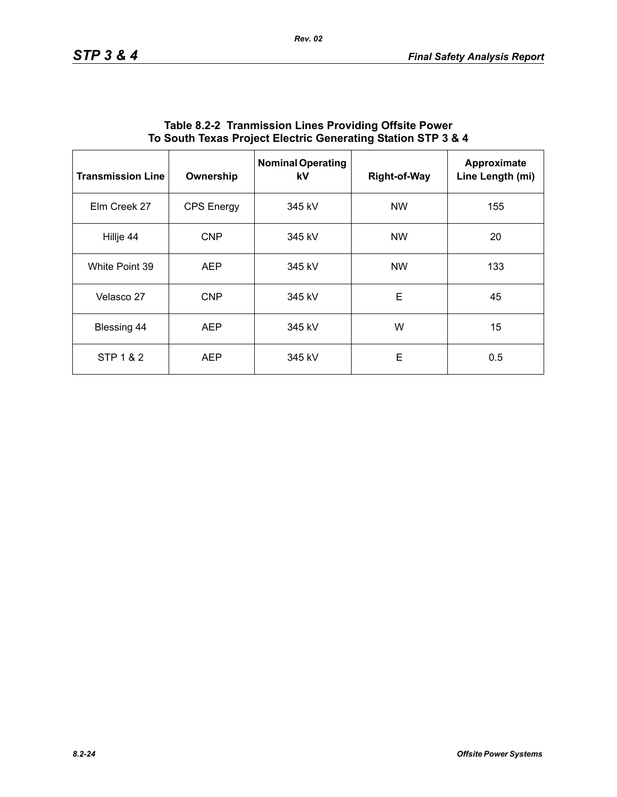| <b>Transmission Line</b> | Ownership         | <b>Nominal Operating</b><br>kV | <b>Right-of-Way</b> | Approximate<br>Line Length (mi) |
|--------------------------|-------------------|--------------------------------|---------------------|---------------------------------|
| Elm Creek 27             | <b>CPS</b> Energy | 345 kV                         | <b>NW</b>           | 155                             |
| Hillje 44                | <b>CNP</b>        | 345 kV                         | <b>NW</b>           | 20                              |
| White Point 39           | <b>AEP</b>        | 345 kV                         | <b>NW</b>           | 133                             |
| Velasco 27               | <b>CNP</b>        | 345 kV                         | E                   | 45                              |
| Blessing 44              | <b>AEP</b>        | 345 kV                         | W                   | 15                              |
| STP 1 & 2                | <b>AEP</b>        | 345 kV                         | E                   | 0.5                             |

### **Table 8.2-2 Tranmission Lines Providing Offsite Power To South Texas Project Electric Generating Station STP 3 & 4**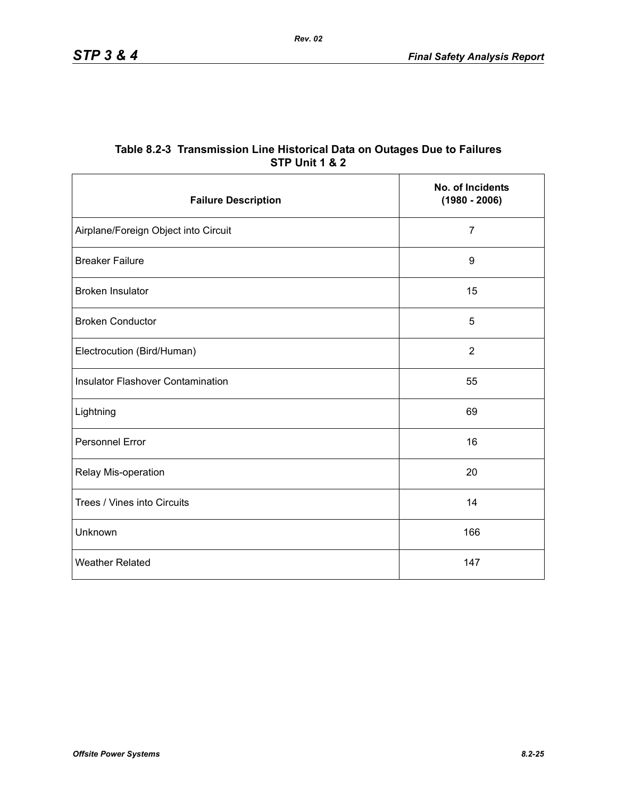|                | Table 8.2-3 Transmission Line Historical Data on Outages Due to Failures |  |
|----------------|--------------------------------------------------------------------------|--|
| STP Unit 1 & 2 |                                                                          |  |

| <b>Failure Description</b>               | No. of Incidents<br>$(1980 - 2006)$ |
|------------------------------------------|-------------------------------------|
| Airplane/Foreign Object into Circuit     | $\overline{7}$                      |
| <b>Breaker Failure</b>                   | 9                                   |
| <b>Broken Insulator</b>                  | 15                                  |
| <b>Broken Conductor</b>                  | 5                                   |
| Electrocution (Bird/Human)               | $\overline{2}$                      |
| <b>Insulator Flashover Contamination</b> | 55                                  |
| Lightning                                | 69                                  |
| <b>Personnel Error</b>                   | 16                                  |
| Relay Mis-operation                      | 20                                  |
| Trees / Vines into Circuits              | 14                                  |
| Unknown                                  | 166                                 |
| <b>Weather Related</b>                   | 147                                 |